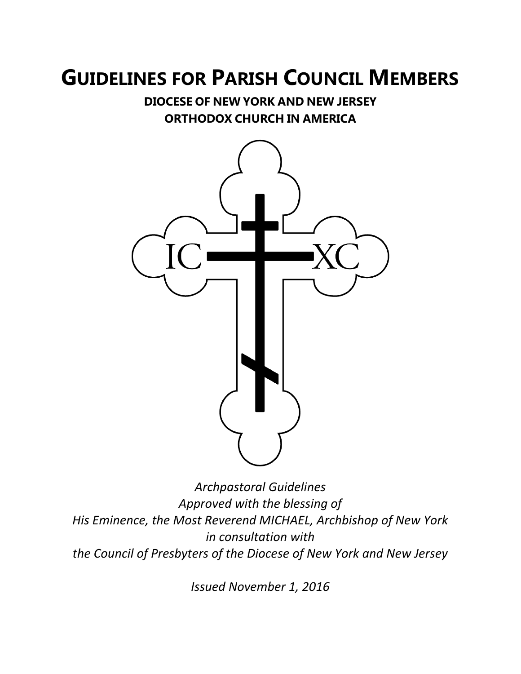# **GUIDELINES FOR PARISH COUNCIL MEMBERS**

**DIOCESE OF NEW YORK AND NEW JERSEY ORTHODOX CHURCH IN AMERICA**



*Archpastoral Guidelines Approved with the blessing of His Eminence, the Most Reverend MICHAEL, Archbishop of New York in consultation with the Council of Presbyters of the Diocese of New York and New Jersey*

*Issued November 1, 2016*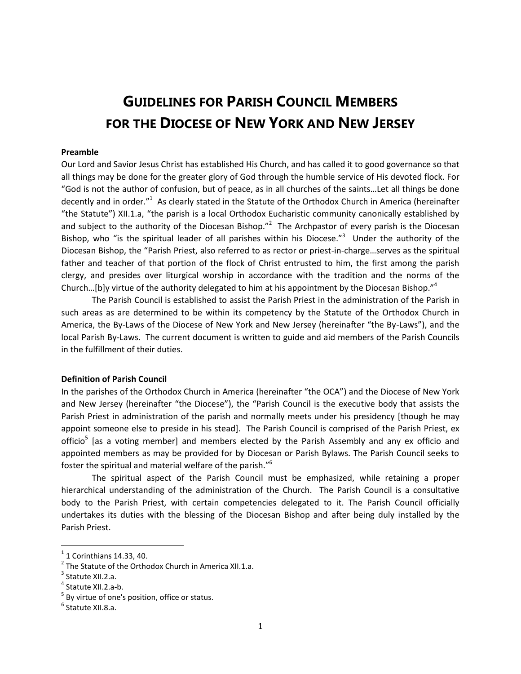## **GUIDELINES FOR PARISH COUNCIL MEMBERS FOR THE DIOCESE OF NEW YORK AND NEW JERSEY**

#### **Preamble**

Our Lord and Savior Jesus Christ has established His Church, and has called it to good governance so that all things may be done for the greater glory of God through the humble service of His devoted flock. For "God is not the author of confusion, but of peace, as in all churches of the saints…Let all things be done decently and in order."<sup>1</sup> As clearly stated in the Statute of the Orthodox Church in America (hereinafter "the Statute") XII.1.a, "the parish is a local Orthodox Eucharistic community canonically established by and subject to the authority of the Diocesan Bishop."<sup>2</sup> The Archpastor of every parish is the Diocesan Bishop, who "is the spiritual leader of all parishes within his Diocese."<sup>3</sup> Under the authority of the Diocesan Bishop, the "Parish Priest, also referred to as rector or priest-in-charge…serves as the spiritual father and teacher of that portion of the flock of Christ entrusted to him, the first among the parish clergy, and presides over liturgical worship in accordance with the tradition and the norms of the Church...[b]y virtue of the authority delegated to him at his appointment by the Diocesan Bishop."<sup>4</sup>

The Parish Council is established to assist the Parish Priest in the administration of the Parish in such areas as are determined to be within its competency by the Statute of the Orthodox Church in America, the By-Laws of the Diocese of New York and New Jersey (hereinafter "the By-Laws"), and the local Parish By-Laws. The current document is written to guide and aid members of the Parish Councils in the fulfillment of their duties.

#### **Definition of Parish Council**

In the parishes of the Orthodox Church in America (hereinafter "the OCA") and the Diocese of New York and New Jersey (hereinafter "the Diocese"), the "Parish Council is the executive body that assists the Parish Priest in administration of the parish and normally meets under his presidency [though he may appoint someone else to preside in his stead]. The Parish Council is comprised of the Parish Priest, ex officio<sup>5</sup> [as a voting member] and members elected by the Parish Assembly and any ex officio and appointed members as may be provided for by Diocesan or Parish Bylaws. The Parish Council seeks to foster the spiritual and material welfare of the parish."<sup>6</sup>

The spiritual aspect of the Parish Council must be emphasized, while retaining a proper hierarchical understanding of the administration of the Church. The Parish Council is a consultative body to the Parish Priest, with certain competencies delegated to it. The Parish Council officially undertakes its duties with the blessing of the Diocesan Bishop and after being duly installed by the Parish Priest.

 $\overline{a}$ 

 $<sup>1</sup>$  1 Corinthians 14.33, 40.</sup>

 $2$  The Statute of the Orthodox Church in America XII.1.a.

<sup>&</sup>lt;sup>3</sup> Statute XII.2.a.

<sup>4</sup> Statute XII.2.a-b.

 $<sup>5</sup>$  By virtue of one's position, office or status.</sup>

<sup>&</sup>lt;sup>6</sup> Statute XII.8.a.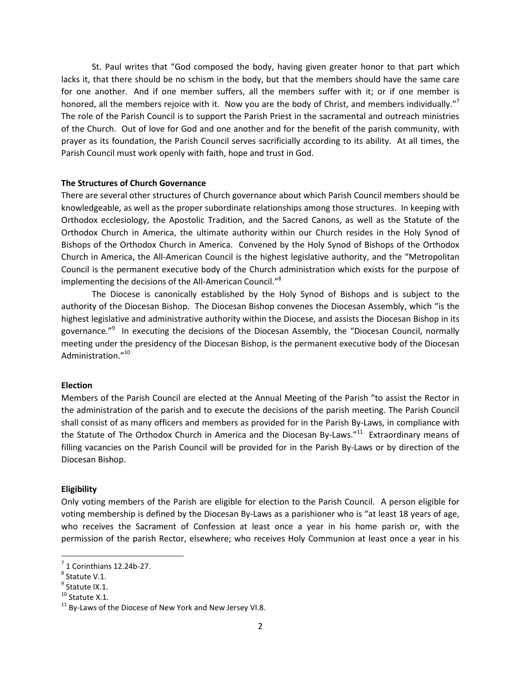St. Paul writes that "God composed the body, having given greater honor to that part which lacks it, that there should be no schism in the body, but that the members should have the same care for one another. And if one member suffers, all the members suffer with it; or if one member is honored, all the members rejoice with it. Now you are the body of Christ, and members individually."<sup>7</sup> The role of the Parish Council is to support the Parish Priest in the sacramental and outreach ministries of the Church. Out of love for God and one another and for the benefit of the parish community, with prayer as its foundation, the Parish Council serves sacrificially according to its ability. At all times, the Parish Council must work openly with faith, hope and trust in God.

#### **The Structures of Church Governance**

There are several other structures of Church governance about which Parish Council members should be knowledgeable, as well as the proper subordinate relationships among those structures. In keeping with Orthodox ecclesiology, the Apostolic Tradition, and the Sacred Canons, as well as the Statute of the Orthodox Church in America, the ultimate authority within our Church resides in the Holy Synod of Bishops of the Orthodox Church in America. Convened by the Holy Synod of Bishops of the Orthodox Church in America, the All-American Council is the highest legislative authority, and the "Metropolitan Council is the permanent executive body of the Church administration which exists for the purpose of implementing the decisions of the All-American Council."<sup>8</sup>

The Diocese is canonically established by the Holy Synod of Bishops and is subject to the authority of the Diocesan Bishop. The Diocesan Bishop convenes the Diocesan Assembly, which "is the highest legislative and administrative authority within the Diocese, and assists the Diocesan Bishop in its governance."<sup>9</sup> In executing the decisions of the Diocesan Assembly, the "Diocesan Council, normally meeting under the presidency of the Diocesan Bishop, is the permanent executive body of the Diocesan Administration."<sup>10</sup>

#### **Election**

Members of the Parish Council are elected at the Annual Meeting of the Parish "to assist the Rector in the administration of the parish and to execute the decisions of the parish meeting. The Parish Council shall consist of as many officers and members as provided for in the Parish By-Laws, in compliance with the Statute of The Orthodox Church in America and the Diocesan By-Laws."<sup>11</sup> Extraordinary means of filling vacancies on the Parish Council will be provided for in the Parish By-Laws or by direction of the Diocesan Bishop.

#### **Eligibility**

Only voting members of the Parish are eligible for election to the Parish Council. A person eligible for voting membership is defined by the Diocesan By-Laws as a parishioner who is "at least 18 years of age, who receives the Sacrament of Confession at least once a year in his home parish or, with the permission of the parish Rector, elsewhere; who receives Holy Communion at least once a year in his

 $<sup>7</sup>$  1 Corinthians 12.24b-27.</sup>

<sup>8</sup> Statute V.1.

<sup>&</sup>lt;sup>9</sup> Statute IX.1.

<sup>&</sup>lt;sup>10</sup> Statute X.1.

 $11$  By-Laws of the Diocese of New York and New Jersey VI.8.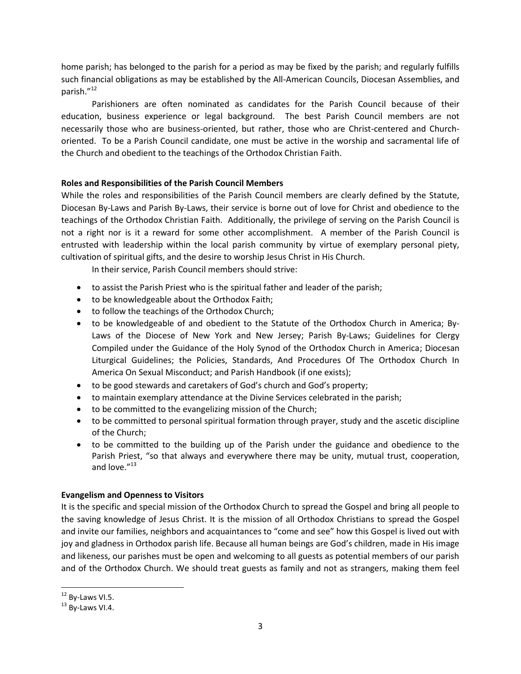home parish; has belonged to the parish for a period as may be fixed by the parish; and regularly fulfills such financial obligations as may be established by the All-American Councils, Diocesan Assemblies, and parish."<sup>12</sup>

Parishioners are often nominated as candidates for the Parish Council because of their education, business experience or legal background. The best Parish Council members are not necessarily those who are business-oriented, but rather, those who are Christ-centered and Churchoriented. To be a Parish Council candidate, one must be active in the worship and sacramental life of the Church and obedient to the teachings of the Orthodox Christian Faith.

#### **Roles and Responsibilities of the Parish Council Members**

While the roles and responsibilities of the Parish Council members are clearly defined by the Statute, Diocesan By-Laws and Parish By-Laws, their service is borne out of love for Christ and obedience to the teachings of the Orthodox Christian Faith. Additionally, the privilege of serving on the Parish Council is not a right nor is it a reward for some other accomplishment. A member of the Parish Council is entrusted with leadership within the local parish community by virtue of exemplary personal piety, cultivation of spiritual gifts, and the desire to worship Jesus Christ in His Church.

In their service, Parish Council members should strive:

- to assist the Parish Priest who is the spiritual father and leader of the parish;
- to be knowledgeable about the Orthodox Faith;
- to follow the teachings of the Orthodox Church;
- to be knowledgeable of and obedient to the Statute of the Orthodox Church in America; By-Laws of the Diocese of New York and New Jersey; Parish By-Laws; Guidelines for Clergy Compiled under the Guidance of the Holy Synod of the Orthodox Church in America; Diocesan Liturgical Guidelines; the Policies, Standards, And Procedures Of The Orthodox Church In America On Sexual Misconduct; and Parish Handbook (if one exists);
- to be good stewards and caretakers of God's church and God's property;
- to maintain exemplary attendance at the Divine Services celebrated in the parish;
- to be committed to the evangelizing mission of the Church;
- to be committed to personal spiritual formation through prayer, study and the ascetic discipline of the Church;
- to be committed to the building up of the Parish under the guidance and obedience to the Parish Priest, "so that always and everywhere there may be unity, mutual trust, cooperation, and love."<sup>13</sup>

#### **Evangelism and Openness to Visitors**

It is the specific and special mission of the Orthodox Church to spread the Gospel and bring all people to the saving knowledge of Jesus Christ. It is the mission of all Orthodox Christians to spread the Gospel and invite our families, neighbors and acquaintances to "come and see" how this Gospel is lived out with joy and gladness in Orthodox parish life. Because all human beings are God's children, made in His image and likeness, our parishes must be open and welcoming to all guests as potential members of our parish and of the Orthodox Church. We should treat guests as family and not as strangers, making them feel

 $12$  By-Laws VI.5.

 $13$  By-Laws VI.4.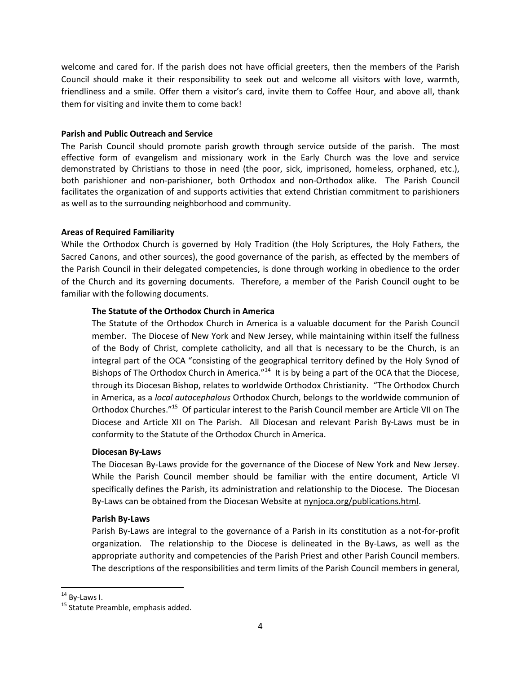welcome and cared for. If the parish does not have official greeters, then the members of the Parish Council should make it their responsibility to seek out and welcome all visitors with love, warmth, friendliness and a smile. Offer them a visitor's card, invite them to Coffee Hour, and above all, thank them for visiting and invite them to come back!

#### **Parish and Public Outreach and Service**

The Parish Council should promote parish growth through service outside of the parish. The most effective form of evangelism and missionary work in the Early Church was the love and service demonstrated by Christians to those in need (the poor, sick, imprisoned, homeless, orphaned, etc.), both parishioner and non-parishioner, both Orthodox and non-Orthodox alike. The Parish Council facilitates the organization of and supports activities that extend Christian commitment to parishioners as well as to the surrounding neighborhood and community.

#### **Areas of Required Familiarity**

While the Orthodox Church is governed by Holy Tradition (the Holy Scriptures, the Holy Fathers, the Sacred Canons, and other sources), the good governance of the parish, as effected by the members of the Parish Council in their delegated competencies, is done through working in obedience to the order of the Church and its governing documents. Therefore, a member of the Parish Council ought to be familiar with the following documents.

#### **The Statute of the Orthodox Church in America**

The Statute of the Orthodox Church in America is a valuable document for the Parish Council member. The Diocese of New York and New Jersey, while maintaining within itself the fullness of the Body of Christ, complete catholicity, and all that is necessary to be the Church, is an integral part of the OCA "consisting of the geographical territory defined by the Holy Synod of Bishops of The Orthodox Church in America."<sup>14</sup> It is by being a part of the OCA that the Diocese, through its Diocesan Bishop, relates to worldwide Orthodox Christianity. "The Orthodox Church in America, as a *local autocephalous* Orthodox Church, belongs to the worldwide communion of Orthodox Churches."<sup>15</sup> Of particular interest to the Parish Council member are Article VII on The Diocese and Article XII on The Parish. All Diocesan and relevant Parish By-Laws must be in conformity to the Statute of the Orthodox Church in America.

#### **Diocesan By-Laws**

The Diocesan By-Laws provide for the governance of the Diocese of New York and New Jersey. While the Parish Council member should be familiar with the entire document, Article VI specifically defines the Parish, its administration and relationship to the Diocese. The Diocesan By-Laws can be obtained from the Diocesan Website at nynjoca.org/publications.html.

#### **Parish By-Laws**

Parish By-Laws are integral to the governance of a Parish in its constitution as a not-for-profit organization. The relationship to the Diocese is delineated in the By-Laws, as well as the appropriate authority and competencies of the Parish Priest and other Parish Council members. The descriptions of the responsibilities and term limits of the Parish Council members in general,

 $14$  By-Laws I.

<sup>&</sup>lt;sup>15</sup> Statute Preamble, emphasis added.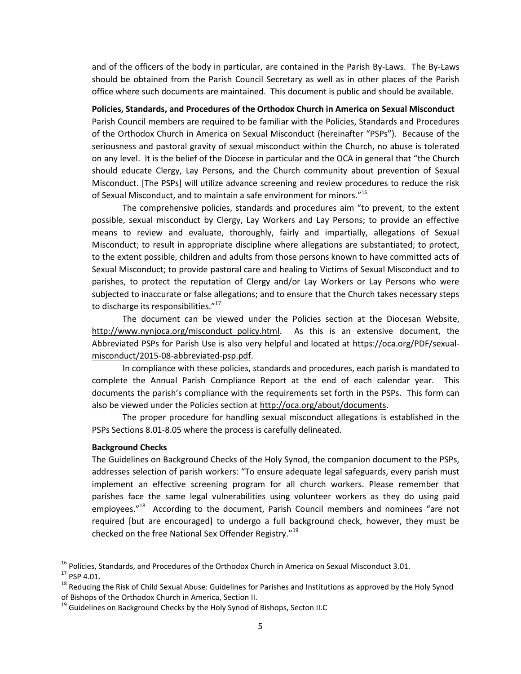and of the officers of the body in particular, are contained in the Parish By-Laws. The By-Laws should be obtained from the Parish Council Secretary as well as in other places of the Parish office where such documents are maintained. This document is public and should be available.

**Policies, Standards, and Procedures of the Orthodox Church in America on Sexual Misconduct** Parish Council members are required to be familiar with the Policies, Standards and Procedures of the Orthodox Church in America on Sexual Misconduct (hereinafter "PSPs"). Because of the seriousness and pastoral gravity of sexual misconduct within the Church, no abuse is tolerated on any level. It is the belief of the Diocese in particular and the OCA in general that "the Church should educate Clergy, Lay Persons, and the Church community about prevention of Sexual Misconduct. [The PSPs] will utilize advance screening and review procedures to reduce the risk of Sexual Misconduct, and to maintain a safe environment for minors." $^{16}$ 

The comprehensive policies, standards and procedures aim "to prevent, to the extent possible, sexual misconduct by Clergy, Lay Workers and Lay Persons; to provide an effective means to review and evaluate, thoroughly, fairly and impartially, allegations of Sexual Misconduct; to result in appropriate discipline where allegations are substantiated; to protect, to the extent possible, children and adults from those persons known to have committed acts of Sexual Misconduct; to provide pastoral care and healing to Victims of Sexual Misconduct and to parishes, to protect the reputation of Clergy and/or Lay Workers or Lay Persons who were subjected to inaccurate or false allegations; and to ensure that the Church takes necessary steps to discharge its responsibilities."<sup>17</sup>

The document can be viewed under the Policies section at the Diocesan Website, http://www.nynjoca.org/misconduct policy.html. As this is an extensive document, the Abbreviated PSPs for Parish Use is also very helpful and located at https://oca.org/PDF/sexualmisconduct/2015-08-abbreviated-psp.pdf.

In compliance with these policies, standards and procedures, each parish is mandated to complete the Annual Parish Compliance Report at the end of each calendar year. This documents the parish's compliance with the requirements set forth in the PSPs. This form can also be viewed under the Policies section at http://oca.org/about/documents.

The proper procedure for handling sexual misconduct allegations is established in the PSPs Sections 8.01-8.05 where the process is carefully delineated.

#### **Background Checks**

The Guidelines on Background Checks of the Holy Synod, the companion document to the PSPs, addresses selection of parish workers: "To ensure adequate legal safeguards, every parish must implement an effective screening program for all church workers. Please remember that parishes face the same legal vulnerabilities using volunteer workers as they do using paid employees."<sup>18</sup> According to the document, Parish Council members and nominees "are not required [but are encouraged] to undergo a full background check, however, they must be checked on the free National Sex Offender Registry."<sup>19</sup>

<sup>&</sup>lt;sup>16</sup> Policies, Standards, and Procedures of the Orthodox Church in America on Sexual Misconduct 3.01.

<sup>&</sup>lt;sup>17</sup> PSP 4.01.

<sup>&</sup>lt;sup>18</sup> Reducing the Risk of Child Sexual Abuse: Guidelines for Parishes and Institutions as approved by the Holy Synod of Bishops of the Orthodox Church in America, Section II.

<sup>&</sup>lt;sup>19</sup> Guidelines on Background Checks by the Holy Synod of Bishops, Secton II.C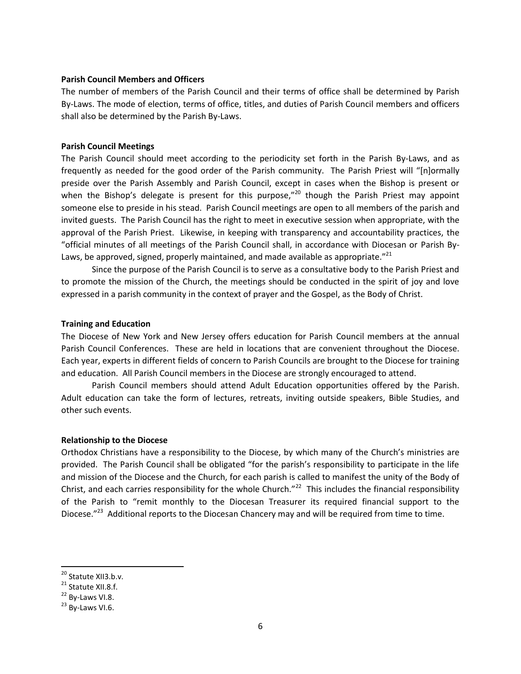#### **Parish Council Members and Officers**

The number of members of the Parish Council and their terms of office shall be determined by Parish By-Laws. The mode of election, terms of office, titles, and duties of Parish Council members and officers shall also be determined by the Parish By-Laws.

#### **Parish Council Meetings**

The Parish Council should meet according to the periodicity set forth in the Parish By-Laws, and as frequently as needed for the good order of the Parish community. The Parish Priest will "[n]ormally preside over the Parish Assembly and Parish Council, except in cases when the Bishop is present or when the Bishop's delegate is present for this purpose,"<sup>20</sup> though the Parish Priest may appoint someone else to preside in his stead. Parish Council meetings are open to all members of the parish and invited guests. The Parish Council has the right to meet in executive session when appropriate, with the approval of the Parish Priest. Likewise, in keeping with transparency and accountability practices, the "official minutes of all meetings of the Parish Council shall, in accordance with Diocesan or Parish By-Laws, be approved, signed, properly maintained, and made available as appropriate." $^{21}$ 

Since the purpose of the Parish Council is to serve as a consultative body to the Parish Priest and to promote the mission of the Church, the meetings should be conducted in the spirit of joy and love expressed in a parish community in the context of prayer and the Gospel, as the Body of Christ.

#### **Training and Education**

The Diocese of New York and New Jersey offers education for Parish Council members at the annual Parish Council Conferences. These are held in locations that are convenient throughout the Diocese. Each year, experts in different fields of concern to Parish Councils are brought to the Diocese for training and education. All Parish Council members in the Diocese are strongly encouraged to attend.

Parish Council members should attend Adult Education opportunities offered by the Parish. Adult education can take the form of lectures, retreats, inviting outside speakers, Bible Studies, and other such events.

#### **Relationship to the Diocese**

Orthodox Christians have a responsibility to the Diocese, by which many of the Church's ministries are provided. The Parish Council shall be obligated "for the parish's responsibility to participate in the life and mission of the Diocese and the Church, for each parish is called to manifest the unity of the Body of Christ, and each carries responsibility for the whole Church. $^{\prime\prime 22}$  This includes the financial responsibility of the Parish to "remit monthly to the Diocesan Treasurer its required financial support to the Diocese."<sup>23</sup> Additional reports to the Diocesan Chancery may and will be required from time to time.

 $\overline{a}$ 

<sup>&</sup>lt;sup>20</sup> Statute XII3.b.v.

<sup>&</sup>lt;sup>21</sup> Statute XII.8.f.

<sup>&</sup>lt;sup>22</sup> By-Laws VI.8.

<sup>&</sup>lt;sup>23</sup> By-Laws VI.6.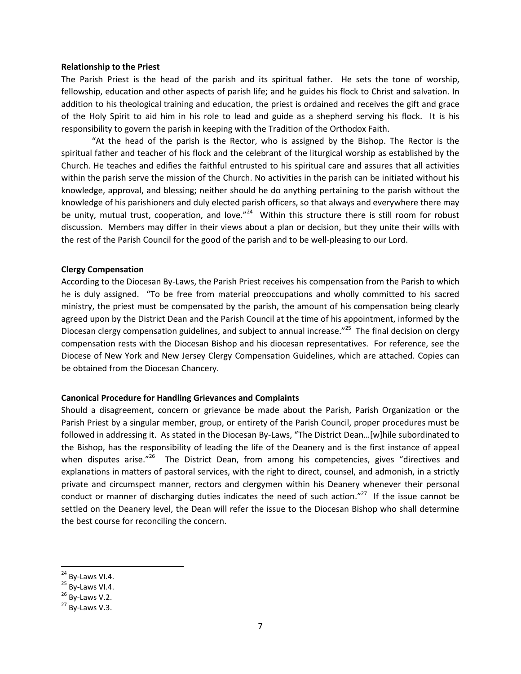#### **Relationship to the Priest**

The Parish Priest is the head of the parish and its spiritual father. He sets the tone of worship, fellowship, education and other aspects of parish life; and he guides his flock to Christ and salvation. In addition to his theological training and education, the priest is ordained and receives the gift and grace of the Holy Spirit to aid him in his role to lead and guide as a shepherd serving his flock. It is his responsibility to govern the parish in keeping with the Tradition of the Orthodox Faith.

"At the head of the parish is the Rector, who is assigned by the Bishop. The Rector is the spiritual father and teacher of his flock and the celebrant of the liturgical worship as established by the Church. He teaches and edifies the faithful entrusted to his spiritual care and assures that all activities within the parish serve the mission of the Church. No activities in the parish can be initiated without his knowledge, approval, and blessing; neither should he do anything pertaining to the parish without the knowledge of his parishioners and duly elected parish officers, so that always and everywhere there may be unity, mutual trust, cooperation, and love."<sup>24</sup> Within this structure there is still room for robust discussion. Members may differ in their views about a plan or decision, but they unite their wills with the rest of the Parish Council for the good of the parish and to be well-pleasing to our Lord.

#### **Clergy Compensation**

According to the Diocesan By-Laws, the Parish Priest receives his compensation from the Parish to which he is duly assigned. "To be free from material preoccupations and wholly committed to his sacred ministry, the priest must be compensated by the parish, the amount of his compensation being clearly agreed upon by the District Dean and the Parish Council at the time of his appointment, informed by the Diocesan clergy compensation guidelines, and subject to annual increase."<sup>25</sup> The final decision on clergy compensation rests with the Diocesan Bishop and his diocesan representatives. For reference, see the Diocese of New York and New Jersey Clergy Compensation Guidelines, which are attached. Copies can be obtained from the Diocesan Chancery.

#### **Canonical Procedure for Handling Grievances and Complaints**

Should a disagreement, concern or grievance be made about the Parish, Parish Organization or the Parish Priest by a singular member, group, or entirety of the Parish Council, proper procedures must be followed in addressing it. As stated in the Diocesan By-Laws, "The District Dean…[w]hile subordinated to the Bishop, has the responsibility of leading the life of the Deanery and is the first instance of appeal when disputes arise."<sup>26</sup> The District Dean, from among his competencies, gives "directives and explanations in matters of pastoral services, with the right to direct, counsel, and admonish, in a strictly private and circumspect manner, rectors and clergymen within his Deanery whenever their personal conduct or manner of discharging duties indicates the need of such action."<sup>27</sup> If the issue cannot be settled on the Deanery level, the Dean will refer the issue to the Diocesan Bishop who shall determine the best course for reconciling the concern.

 $\overline{a}$ 

<sup>&</sup>lt;sup>24</sup> By-Laws VI.4.

 $25$  By-Laws VI.4.

 $26$  By-Laws V.2.

 $27$  By-Laws V.3.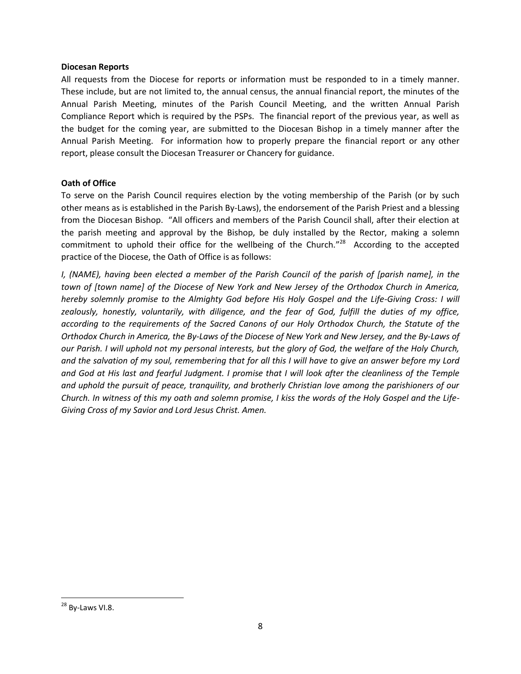#### **Diocesan Reports**

All requests from the Diocese for reports or information must be responded to in a timely manner. These include, but are not limited to, the annual census, the annual financial report, the minutes of the Annual Parish Meeting, minutes of the Parish Council Meeting, and the written Annual Parish Compliance Report which is required by the PSPs. The financial report of the previous year, as well as the budget for the coming year, are submitted to the Diocesan Bishop in a timely manner after the Annual Parish Meeting. For information how to properly prepare the financial report or any other report, please consult the Diocesan Treasurer or Chancery for guidance.

#### **Oath of Office**

To serve on the Parish Council requires election by the voting membership of the Parish (or by such other means as is established in the Parish By-Laws), the endorsement of the Parish Priest and a blessing from the Diocesan Bishop. "All officers and members of the Parish Council shall, after their election at the parish meeting and approval by the Bishop, be duly installed by the Rector, making a solemn commitment to uphold their office for the wellbeing of the Church."<sup>28</sup> According to the accepted practice of the Diocese, the Oath of Office is as follows:

*I, (NAME), having been elected a member of the Parish Council of the parish of [parish name], in the town of [town name] of the Diocese of New York and New Jersey of the Orthodox Church in America, hereby solemnly promise to the Almighty God before His Holy Gospel and the Life-Giving Cross: I will zealously, honestly, voluntarily, with diligence, and the fear of God, fulfill the duties of my office, according to the requirements of the Sacred Canons of our Holy Orthodox Church, the Statute of the Orthodox Church in America, the By-Laws of the Diocese of New York and New Jersey, and the By-Laws of our Parish. I will uphold not my personal interests, but the glory of God, the welfare of the Holy Church, and the salvation of my soul, remembering that for all this I will have to give an answer before my Lord and God at His last and fearful Judgment. I promise that I will look after the cleanliness of the Temple and uphold the pursuit of peace, tranquility, and brotherly Christian love among the parishioners of our Church. In witness of this my oath and solemn promise, I kiss the words of the Holy Gospel and the Life-Giving Cross of my Savior and Lord Jesus Christ. Amen.*

 $\overline{\phantom{a}}$ 

<sup>&</sup>lt;sup>28</sup> By-Laws VI.8.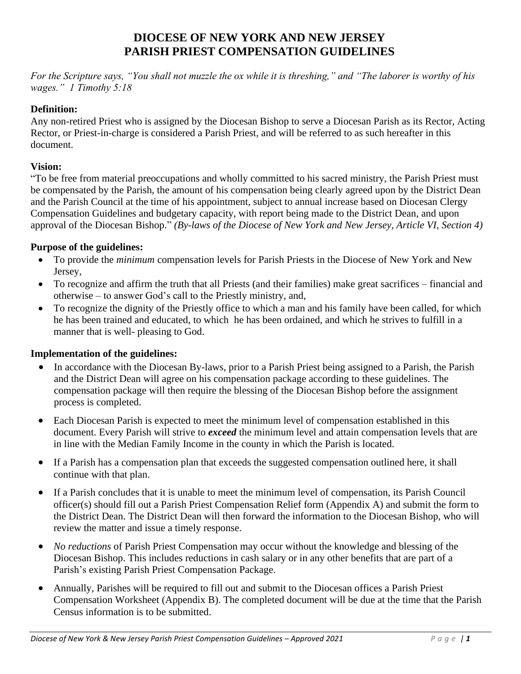## **DIOCESE OF NEW YORK AND NEW JERSEY PARISH PRIEST COMPENSATION GUIDELINES**

*For the Scripture says, "You shall not muzzle the ox while it is threshing," and "The laborer is worthy of his wages." 1 Timothy 5:18*

## **Definition:**

Any non-retired Priest who is assigned by the Diocesan Bishop to serve a Diocesan Parish as its Rector, Acting Rector, or Priest-in-charge is considered a Parish Priest, and will be referred to as such hereafter in this document.

## **Vision:**

"To be free from material preoccupations and wholly committed to his sacred ministry, the Parish Priest must be compensated by the Parish, the amount of his compensation being clearly agreed upon by the District Dean and the Parish Council at the time of his appointment, subject to annual increase based on Diocesan Clergy Compensation Guidelines and budgetary capacity, with report being made to the District Dean, and upon approval of the Diocesan Bishop." *(By-laws of the Diocese of New York and New Jersey, Article VI, Section 4)*

## **Purpose of the guidelines:**

- To provide the *minimum* compensation levels for Parish Priests in the Diocese of New York and New Jersey,
- To recognize and affirm the truth that all Priests (and their families) make great sacrifices financial and otherwise – to answer God's call to the Priestly ministry, and,
- To recognize the dignity of the Priestly office to which a man and his family have been called, for which he has been trained and educated, to which he has been ordained, and which he strives to fulfill in a manner that is well- pleasing to God.

## **Implementation of the guidelines:**

- In accordance with the Diocesan By-laws, prior to a Parish Priest being assigned to a Parish, the Parish and the District Dean will agree on his compensation package according to these guidelines. The compensation package will then require the blessing of the Diocesan Bishop before the assignment process is completed.
- Each Diocesan Parish is expected to meet the minimum level of compensation established in this document. Every Parish will strive to *exceed* the minimum level and attain compensation levels that are in line with the Median Family Income in the county in which the Parish is located.
- If a Parish has a compensation plan that exceeds the suggested compensation outlined here, it shall continue with that plan.
- If a Parish concludes that it is unable to meet the minimum level of compensation, its Parish Council officer(s) should fill out a Parish Priest Compensation Relief form (Appendix A) and submit the form to the District Dean. The District Dean will then forward the information to the Diocesan Bishop, who will review the matter and issue a timely response.
- *No reductions* of Parish Priest Compensation may occur without the knowledge and blessing of the Diocesan Bishop. This includes reductions in cash salary or in any other benefits that are part of a Parish's existing Parish Priest Compensation Package.
- Annually, Parishes will be required to fill out and submit to the Diocesan offices a Parish Priest Compensation Worksheet (Appendix B). The completed document will be due at the time that the Parish Census information is to be submitted.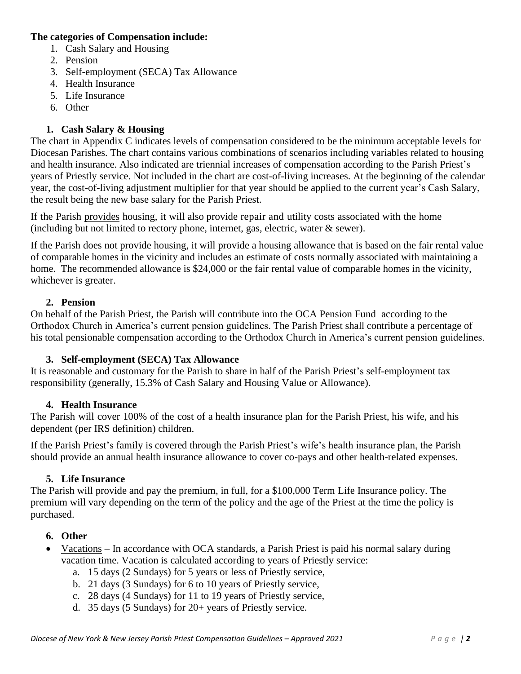## **The categories of Compensation include:**

- 1. Cash Salary and Housing
- 2. Pension
- 3. Self-employment (SECA) Tax Allowance
- 4. Health Insurance
- 5. Life Insurance
- 6. Other

## **1. Cash Salary & Housing**

The chart in Appendix C indicates levels of compensation considered to be the minimum acceptable levels for Diocesan Parishes. The chart contains various combinations of scenarios including variables related to housing and health insurance. Also indicated are triennial increases of compensation according to the Parish Priest's years of Priestly service. Not included in the chart are cost-of-living increases. At the beginning of the calendar year, the cost-of-living adjustment multiplier for that year should be applied to the current year's Cash Salary, the result being the new base salary for the Parish Priest.

If the Parish provides housing, it will also provide repair and utility costs associated with the home (including but not limited to rectory phone, internet, gas, electric, water & sewer).

If the Parish does not provide housing, it will provide a housing allowance that is based on the fair rental value of comparable homes in the vicinity and includes an estimate of costs normally associated with maintaining a home. The recommended allowance is \$24,000 or the fair rental value of comparable homes in the vicinity, whichever is greater.

## **2. Pension**

On behalf of the Parish Priest, the Parish will contribute into the OCA Pension Fund according to the Orthodox Church in America's current pension guidelines. The Parish Priest shall contribute a percentage of his total pensionable compensation according to the Orthodox Church in America's current pension guidelines.

## **3. Self-employment (SECA) Tax Allowance**

It is reasonable and customary for the Parish to share in half of the Parish Priest's self-employment tax responsibility (generally, 15.3% of Cash Salary and Housing Value or Allowance).

## **4. Health Insurance**

The Parish will cover 100% of the cost of a health insurance plan for the Parish Priest, his wife, and his dependent (per IRS definition) children.

If the Parish Priest's family is covered through the Parish Priest's wife's health insurance plan, the Parish should provide an annual health insurance allowance to cover co-pays and other health-related expenses.

## **5. Life Insurance**

The Parish will provide and pay the premium, in full, for a \$100,000 Term Life Insurance policy. The premium will vary depending on the term of the policy and the age of the Priest at the time the policy is purchased.

## **6. Other**

- Vacations In accordance with OCA standards, a Parish Priest is paid his normal salary during vacation time. Vacation is calculated according to years of Priestly service:
	- a. 15 days (2 Sundays) for 5 years or less of Priestly service,
	- b. 21 days (3 Sundays) for 6 to 10 years of Priestly service,
	- c. 28 days (4 Sundays) for 11 to 19 years of Priestly service,
	- d. 35 days (5 Sundays) for 20+ years of Priestly service.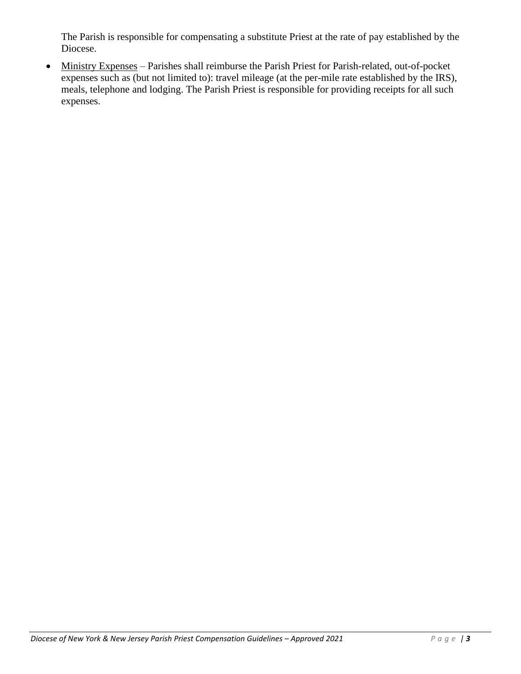The Parish is responsible for compensating a substitute Priest at the rate of pay established by the Diocese.

• Ministry Expenses – Parishes shall reimburse the Parish Priest for Parish-related, out-of-pocket expenses such as (but not limited to): travel mileage (at the per-mile rate established by the IRS), meals, telephone and lodging. The Parish Priest is responsible for providing receipts for all such expenses.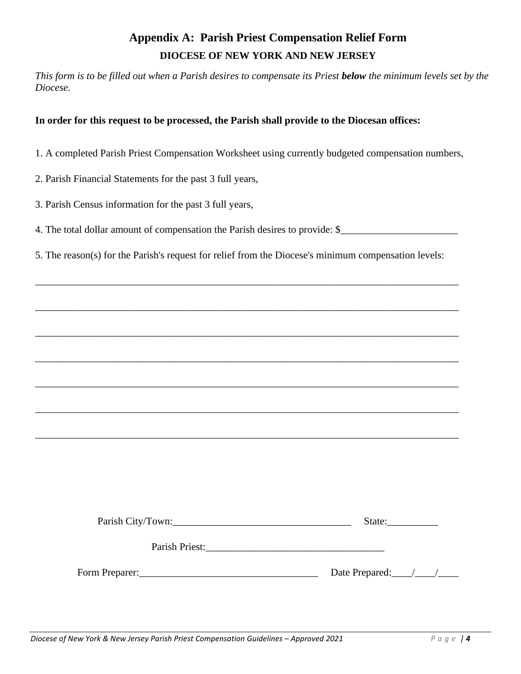## **Appendix A: Parish Priest Compensation Relief Form DIOCESE OF NEW YORK AND NEW JERSEY**

*This form is to be filled out when a Parish desires to compensate its Priest below the minimum levels set by the Diocese.*

### **In order for this request to be processed, the Parish shall provide to the Diocesan offices:**

- 1. A completed Parish Priest Compensation Worksheet using currently budgeted compensation numbers,
- 2. Parish Financial Statements for the past 3 full years,
- 3. Parish Census information for the past 3 full years,
- 4. The total dollar amount of compensation the Parish desires to provide: \$

\_\_\_\_\_\_\_\_\_\_\_\_\_\_\_\_\_\_\_\_\_\_\_\_\_\_\_\_\_\_\_\_\_\_\_\_\_\_\_\_\_\_\_\_\_\_\_\_\_\_\_\_\_\_\_\_\_\_\_\_\_\_\_\_\_\_\_\_\_\_\_\_\_\_\_\_\_\_\_\_\_\_\_

\_\_\_\_\_\_\_\_\_\_\_\_\_\_\_\_\_\_\_\_\_\_\_\_\_\_\_\_\_\_\_\_\_\_\_\_\_\_\_\_\_\_\_\_\_\_\_\_\_\_\_\_\_\_\_\_\_\_\_\_\_\_\_\_\_\_\_\_\_\_\_\_\_\_\_\_\_\_\_\_\_\_\_

\_\_\_\_\_\_\_\_\_\_\_\_\_\_\_\_\_\_\_\_\_\_\_\_\_\_\_\_\_\_\_\_\_\_\_\_\_\_\_\_\_\_\_\_\_\_\_\_\_\_\_\_\_\_\_\_\_\_\_\_\_\_\_\_\_\_\_\_\_\_\_\_\_\_\_\_\_\_\_\_\_\_\_

\_\_\_\_\_\_\_\_\_\_\_\_\_\_\_\_\_\_\_\_\_\_\_\_\_\_\_\_\_\_\_\_\_\_\_\_\_\_\_\_\_\_\_\_\_\_\_\_\_\_\_\_\_\_\_\_\_\_\_\_\_\_\_\_\_\_\_\_\_\_\_\_\_\_\_\_\_\_\_\_\_\_\_

\_\_\_\_\_\_\_\_\_\_\_\_\_\_\_\_\_\_\_\_\_\_\_\_\_\_\_\_\_\_\_\_\_\_\_\_\_\_\_\_\_\_\_\_\_\_\_\_\_\_\_\_\_\_\_\_\_\_\_\_\_\_\_\_\_\_\_\_\_\_\_\_\_\_\_\_\_\_\_\_\_\_\_

\_\_\_\_\_\_\_\_\_\_\_\_\_\_\_\_\_\_\_\_\_\_\_\_\_\_\_\_\_\_\_\_\_\_\_\_\_\_\_\_\_\_\_\_\_\_\_\_\_\_\_\_\_\_\_\_\_\_\_\_\_\_\_\_\_\_\_\_\_\_\_\_\_\_\_\_\_\_\_\_\_\_\_

\_\_\_\_\_\_\_\_\_\_\_\_\_\_\_\_\_\_\_\_\_\_\_\_\_\_\_\_\_\_\_\_\_\_\_\_\_\_\_\_\_\_\_\_\_\_\_\_\_\_\_\_\_\_\_\_\_\_\_\_\_\_\_\_\_\_\_\_\_\_\_\_\_\_\_\_\_\_\_\_\_\_\_

5. The reason(s) for the Parish's request for relief from the Diocese's minimum compensation levels:

| Parish City/Town: | State:                  |
|-------------------|-------------------------|
| Parish Priest:    |                         |
| Form Preparer:    | Date Prepared: $\angle$ |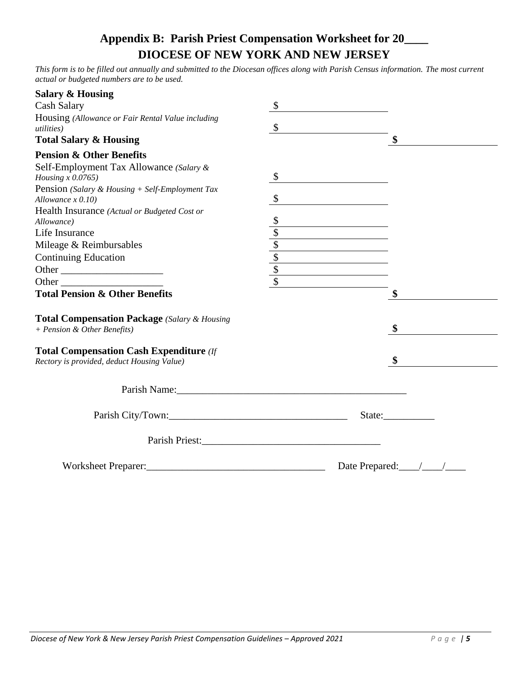## **Appendix B: Parish Priest Compensation Worksheet for 20\_\_\_\_ DIOCESE OF NEW YORK AND NEW JERSEY**

*This form is to be filled out annually and submitted to the Diocesan offices along with Parish Census information. The most current actual or budgeted numbers are to be used.*

| <b>Salary &amp; Housing</b>                         |         |                                                 |        |  |
|-----------------------------------------------------|---------|-------------------------------------------------|--------|--|
| <b>Cash Salary</b>                                  | \$      |                                                 |        |  |
| Housing (Allowance or Fair Rental Value including   |         |                                                 |        |  |
| <i>utilities</i> )                                  | \$      |                                                 |        |  |
| <b>Total Salary &amp; Housing</b>                   |         |                                                 | \$     |  |
| <b>Pension &amp; Other Benefits</b>                 |         |                                                 |        |  |
| Self-Employment Tax Allowance (Salary &             |         |                                                 |        |  |
| Housing $x$ 0.0765)                                 | $\sqrt$ |                                                 |        |  |
| Pension (Salary & Housing + Self-Employment Tax     |         |                                                 |        |  |
| Allowance $x$ 0.10)                                 | \$      |                                                 |        |  |
| Health Insurance (Actual or Budgeted Cost or        |         |                                                 |        |  |
| Allowance)                                          |         |                                                 |        |  |
| Life Insurance                                      |         |                                                 |        |  |
| Mileage & Reimbursables                             |         |                                                 |        |  |
| <b>Continuing Education</b>                         |         |                                                 |        |  |
| Other                                               |         | $\overline{\text{S}}$                           |        |  |
|                                                     |         |                                                 |        |  |
| <b>Total Pension &amp; Other Benefits</b>           |         |                                                 | \$     |  |
| <b>Total Compensation Package</b> (Salary & Housing |         |                                                 |        |  |
| + Pension & Other Benefits)                         |         |                                                 | \$     |  |
| <b>Total Compensation Cash Expenditure</b> (If      |         |                                                 |        |  |
| Rectory is provided, deduct Housing Value)          |         |                                                 |        |  |
|                                                     |         |                                                 |        |  |
| Parish Name: 1988                                   |         |                                                 |        |  |
| Parish City/Town:                                   |         |                                                 | State: |  |
|                                                     |         |                                                 |        |  |
|                                                     |         |                                                 |        |  |
|                                                     |         | Date Prepared: $\frac{1}{\sqrt{1-\frac{1}{2}}}$ |        |  |